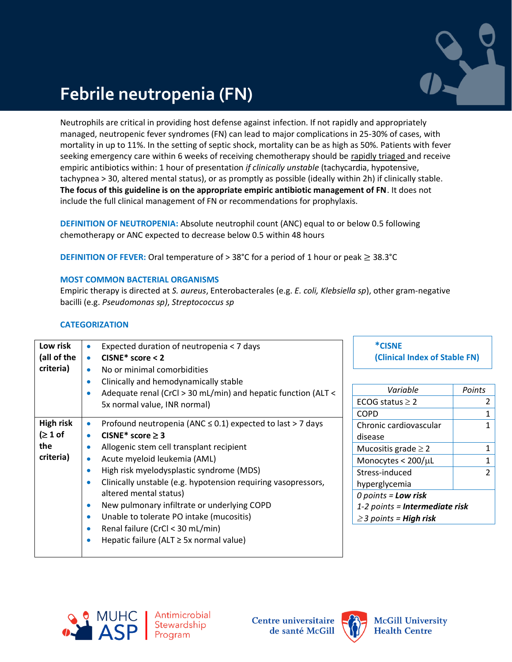

# **Febrile neutropenia (FN)**

Neutrophils are critical in providing host defense against infection. If not rapidly and appropriately managed, neutropenic fever syndromes (FN) can lead to major complications in 25-30% of cases, with mortality in up to 11%. In the setting of septic shock, mortality can be as high as 50%. Patients with fever seeking emergency care within 6 weeks of receiving chemotherapy should be rapidly triaged and receive empiric antibiotics within: 1 hour of presentation *if clinically unstable* (tachycardia, hypotensive, tachypnea > 30, altered mental status), or as promptly as possible (ideally within 2h) if clinically stable. **The focus of this guideline is on the appropriate empiric antibiotic management of FN**. It does not include the full clinical management of FN or recommendations for prophylaxis.

**DEFINITION OF NEUTROPENIA:** Absolute neutrophil count (ANC) equal to or below 0.5 following chemotherapy or ANC expected to decrease below 0.5 within 48 hours

**DEFINITION OF FEVER:** Oral temperature of > 38°C for a period of 1 hour or peak ≥ 38.3°C

## **MOST COMMON BACTERIAL ORGANISMS**

Empiric therapy is directed at *S. aureus*, Enterobacterales (e.g. *E. coli, Klebsiella sp*), other gram-negative bacilli (e.g. *Pseudomonas sp)*, *Streptococcus sp*

### **CATEGORIZATION**

| Expected duration of neutropenia < 7 days<br>$CISNE* score < 2$<br>$\bullet$                                                                                                                                                                                                                                                                                                                                                                                                                                                                                                                                                  | *CISNE<br>(Clinical Index of Stable FN)                                                                                                                                                                                      |                                          |
|-------------------------------------------------------------------------------------------------------------------------------------------------------------------------------------------------------------------------------------------------------------------------------------------------------------------------------------------------------------------------------------------------------------------------------------------------------------------------------------------------------------------------------------------------------------------------------------------------------------------------------|------------------------------------------------------------------------------------------------------------------------------------------------------------------------------------------------------------------------------|------------------------------------------|
| No or minimal comorbidities<br>$\bullet$<br>Clinically and hemodynamically stable<br>$\bullet$<br>Adequate renal (CrCl > 30 mL/min) and hepatic function (ALT <<br>$\bullet$<br>5x normal value, INR normal)                                                                                                                                                                                                                                                                                                                                                                                                                  | Variable<br>ECOG status $\geq 2$<br><b>COPD</b>                                                                                                                                                                              | <b>Points</b><br>2<br>1                  |
| Profound neutropenia (ANC $\leq$ 0.1) expected to last > 7 days<br>$\bullet$<br>CISNE* score $\geq$ 3<br>$\bullet$<br>Allogenic stem cell transplant recipient<br>$\bullet$<br>Acute myeloid leukemia (AML)<br>$\bullet$<br>High risk myelodysplastic syndrome (MDS)<br>$\bullet$<br>Clinically unstable (e.g. hypotension requiring vasopressors,<br>$\bullet$<br>altered mental status)<br>New pulmonary infiltrate or underlying COPD<br>$\bullet$<br>Unable to tolerate PO intake (mucositis)<br>$\bullet$<br>Renal failure (CrCl < 30 mL/min)<br>$\bullet$<br>Hepatic failure ( $ALT \geq 5x$ normal value)<br>$\bullet$ | Chronic cardiovascular<br>disease<br>Mucositis grade $\geq 2$<br>Monocytes $< 200/\mu L$<br>Stress-induced<br>hyperglycemia<br>$0$ points = Low risk<br>1-2 points = <b>Intermediate risk</b><br>$\geq$ 3 points = High risk | 1<br>1<br>$\mathbf{1}$<br>$\overline{2}$ |
|                                                                                                                                                                                                                                                                                                                                                                                                                                                                                                                                                                                                                               |                                                                                                                                                                                                                              |                                          |



Antimicrobial Stewardship<br>Program

**Centre universitaire** de santé McGill